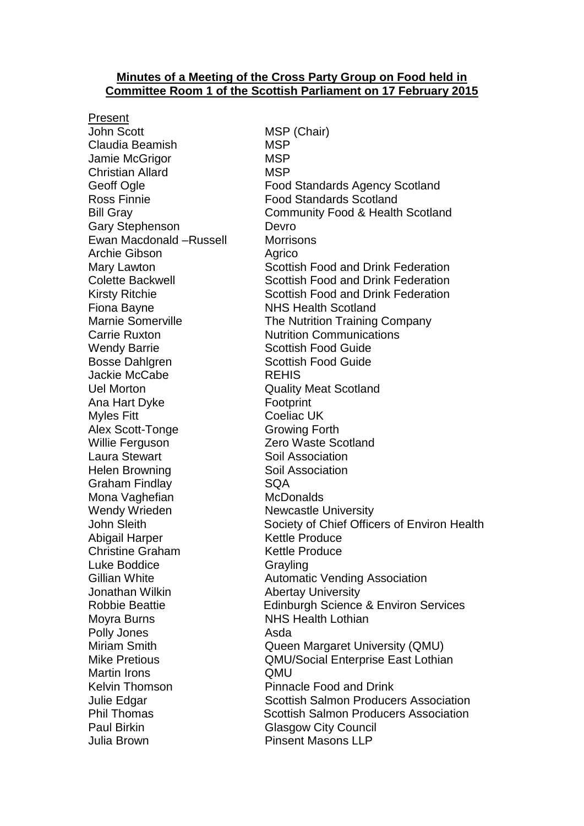### **Minutes of a Meeting of the Cross Party Group on Food held in Committee Room 1 of the Scottish Parliament on 17 February 2015**

Present John Scott MSP (Chair) Claudia Beamish MSP Jamie McGrigor MSP Christian Allard MSP Gary Stephenson Devro Ewan Macdonald –Russell Morrisons Archie Gibson **Agrico** Agrico Fiona Bayne **NHS** Health Scotland Wendy Barrie **Scottish Food Guide** Bosse Dahlgren Scottish Food Guide Jackie McCabe REHIS Uel Morton Quality Meat Scotland Ana Hart Dyke Footprint Myles Fitt **Coeliac UK** Alex Scott-Tonge Growing Forth Willie Ferguson Zero Waste Scotland Laura Stewart **Soil Association** Helen Browning Soil Association Graham Findlay **SQA** Mona Vaghefian McDonalds Wendy Wrieden Newcastle University Abigail Harper Kettle Produce Christine Graham Kettle Produce Luke Boddice **Grayling** Jonathan Wilkin **Abertay University** Moyra Burns **NHS Health Lothian** Polly Jones **Asda** Martin Irons **QMU** Paul Birkin Glasgow City Council Julia Brown Pinsent Masons LLP

Geoff Ogle **Food Standards Agency Scotland** Ross Finnie Food Standards Scotland Bill Gray Community Food & Health Scotland Mary Lawton **Scottish Food and Drink Federation** Colette Backwell **Scottish Food and Drink Federation** Kirsty Ritchie Scottish Food and Drink Federation Marnie Somerville The Nutrition Training Company Carrie Ruxton Nutrition Communications John Sleith Society of Chief Officers of Environ Health Gillian White **Automatic Vending Association** Robbie Beattie Edinburgh Science & Environ Services Miriam Smith **Communist Communist Cueen Margaret University (QMU)** Mike Pretious **CMU/Social Enterprise East Lothian** Kelvin Thomson **Pinnacle Food and Drink** Julie Edgar Scottish Salmon Producers Association Phil Thomas Scottish Salmon Producers Association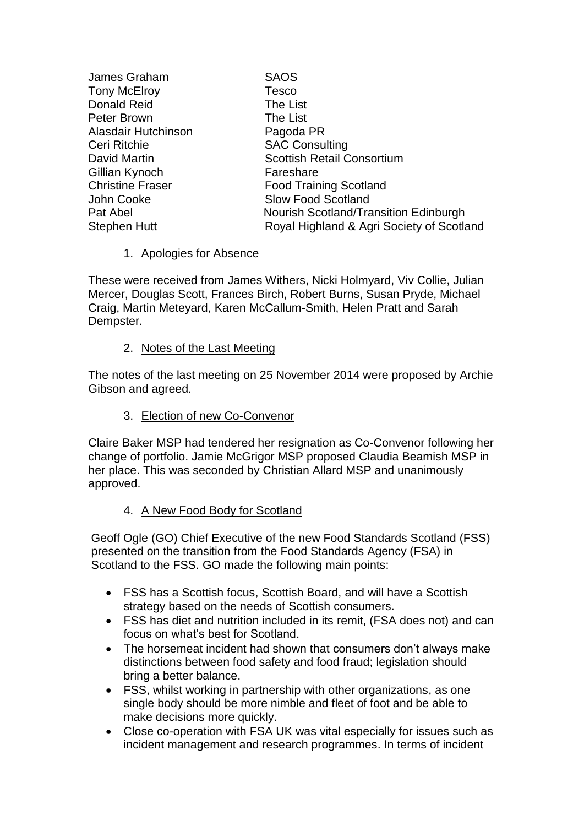| <b>SAOS</b>                               |
|-------------------------------------------|
| <b>Tesco</b>                              |
| The List                                  |
| The List                                  |
| Pagoda PR                                 |
| <b>SAC Consulting</b>                     |
| <b>Scottish Retail Consortium</b>         |
| Fareshare                                 |
| <b>Food Training Scotland</b>             |
| <b>Slow Food Scotland</b>                 |
| Nourish Scotland/Transition Edinburgh     |
| Royal Highland & Agri Society of Scotland |
|                                           |

## 1. Apologies for Absence

These were received from James Withers, Nicki Holmyard, Viv Collie, Julian Mercer, Douglas Scott, Frances Birch, Robert Burns, Susan Pryde, Michael Craig, Martin Meteyard, Karen McCallum-Smith, Helen Pratt and Sarah Dempster.

## 2. Notes of the Last Meeting

The notes of the last meeting on 25 November 2014 were proposed by Archie Gibson and agreed.

3. Election of new Co-Convenor

Claire Baker MSP had tendered her resignation as Co-Convenor following her change of portfolio. Jamie McGrigor MSP proposed Claudia Beamish MSP in her place. This was seconded by Christian Allard MSP and unanimously approved.

# 4. A New Food Body for Scotland

Geoff Ogle (GO) Chief Executive of the new Food Standards Scotland (FSS) presented on the transition from the Food Standards Agency (FSA) in Scotland to the FSS. GO made the following main points:

- FSS has a Scottish focus, Scottish Board, and will have a Scottish strategy based on the needs of Scottish consumers.
- FSS has diet and nutrition included in its remit, (FSA does not) and can focus on what's best for Scotland.
- The horsemeat incident had shown that consumers don't always make distinctions between food safety and food fraud; legislation should bring a better balance.
- FSS, whilst working in partnership with other organizations, as one single body should be more nimble and fleet of foot and be able to make decisions more quickly.
- Close co-operation with FSA UK was vital especially for issues such as incident management and research programmes. In terms of incident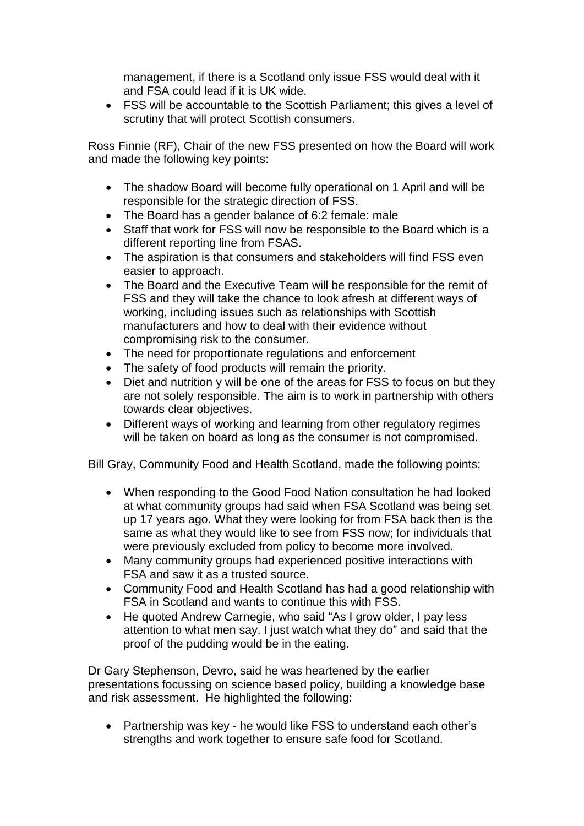management, if there is a Scotland only issue FSS would deal with it and FSA could lead if it is UK wide.

 FSS will be accountable to the Scottish Parliament; this gives a level of scrutiny that will protect Scottish consumers.

Ross Finnie (RF), Chair of the new FSS presented on how the Board will work and made the following key points:

- The shadow Board will become fully operational on 1 April and will be responsible for the strategic direction of FSS.
- The Board has a gender balance of 6:2 female: male
- Staff that work for FSS will now be responsible to the Board which is a different reporting line from FSAS.
- The aspiration is that consumers and stakeholders will find FSS even easier to approach.
- The Board and the Executive Team will be responsible for the remit of FSS and they will take the chance to look afresh at different ways of working, including issues such as relationships with Scottish manufacturers and how to deal with their evidence without compromising risk to the consumer.
- The need for proportionate regulations and enforcement
- The safety of food products will remain the priority.
- Diet and nutrition y will be one of the areas for FSS to focus on but they are not solely responsible. The aim is to work in partnership with others towards clear objectives.
- Different ways of working and learning from other regulatory regimes will be taken on board as long as the consumer is not compromised.

Bill Gray, Community Food and Health Scotland, made the following points:

- When responding to the Good Food Nation consultation he had looked at what community groups had said when FSA Scotland was being set up 17 years ago. What they were looking for from FSA back then is the same as what they would like to see from FSS now; for individuals that were previously excluded from policy to become more involved.
- Many community groups had experienced positive interactions with FSA and saw it as a trusted source.
- Community Food and Health Scotland has had a good relationship with FSA in Scotland and wants to continue this with FSS.
- He quoted Andrew Carnegie, who said "As I grow older, I pay less attention to what men say. I just watch what they do" and said that the proof of the pudding would be in the eating.

Dr Gary Stephenson, Devro, said he was heartened by the earlier presentations focussing on science based policy, building a knowledge base and risk assessment. He highlighted the following:

• Partnership was key - he would like FSS to understand each other's strengths and work together to ensure safe food for Scotland.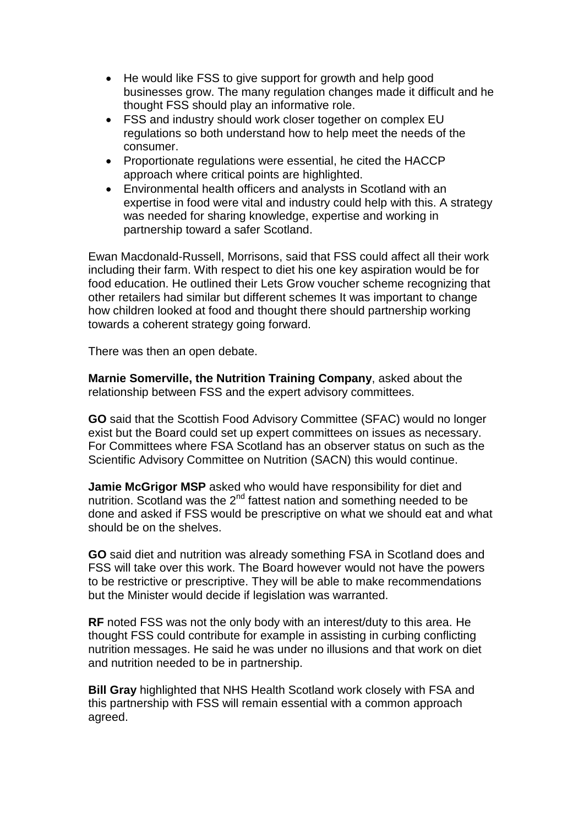- He would like FSS to give support for growth and help good businesses grow. The many regulation changes made it difficult and he thought FSS should play an informative role.
- FSS and industry should work closer together on complex EU regulations so both understand how to help meet the needs of the consumer.
- Proportionate regulations were essential, he cited the HACCP approach where critical points are highlighted.
- Environmental health officers and analysts in Scotland with an expertise in food were vital and industry could help with this. A strategy was needed for sharing knowledge, expertise and working in partnership toward a safer Scotland.

Ewan Macdonald-Russell, Morrisons, said that FSS could affect all their work including their farm. With respect to diet his one key aspiration would be for food education. He outlined their Lets Grow voucher scheme recognizing that other retailers had similar but different schemes It was important to change how children looked at food and thought there should partnership working towards a coherent strategy going forward.

There was then an open debate.

**Marnie Somerville, the Nutrition Training Company**, asked about the relationship between FSS and the expert advisory committees.

**GO** said that the Scottish Food Advisory Committee (SFAC) would no longer exist but the Board could set up expert committees on issues as necessary. For Committees where FSA Scotland has an observer status on such as the Scientific Advisory Committee on Nutrition (SACN) this would continue.

**Jamie McGrigor MSP** asked who would have responsibility for diet and nutrition. Scotland was the  $2^{nd}$  fattest nation and something needed to be done and asked if FSS would be prescriptive on what we should eat and what should be on the shelves.

**GO** said diet and nutrition was already something FSA in Scotland does and FSS will take over this work. The Board however would not have the powers to be restrictive or prescriptive. They will be able to make recommendations but the Minister would decide if legislation was warranted.

**RF** noted FSS was not the only body with an interest/duty to this area. He thought FSS could contribute for example in assisting in curbing conflicting nutrition messages. He said he was under no illusions and that work on diet and nutrition needed to be in partnership.

**Bill Gray** highlighted that NHS Health Scotland work closely with FSA and this partnership with FSS will remain essential with a common approach agreed.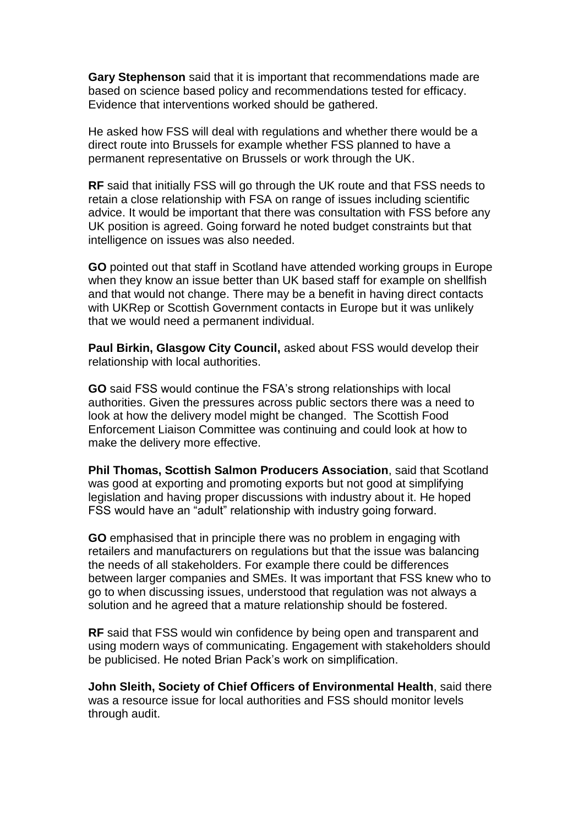**Gary Stephenson** said that it is important that recommendations made are based on science based policy and recommendations tested for efficacy. Evidence that interventions worked should be gathered.

He asked how FSS will deal with regulations and whether there would be a direct route into Brussels for example whether FSS planned to have a permanent representative on Brussels or work through the UK.

**RF** said that initially FSS will go through the UK route and that FSS needs to retain a close relationship with FSA on range of issues including scientific advice. It would be important that there was consultation with FSS before any UK position is agreed. Going forward he noted budget constraints but that intelligence on issues was also needed.

**GO** pointed out that staff in Scotland have attended working groups in Europe when they know an issue better than UK based staff for example on shellfish and that would not change. There may be a benefit in having direct contacts with UKRep or Scottish Government contacts in Europe but it was unlikely that we would need a permanent individual.

**Paul Birkin, Glasgow City Council,** asked about FSS would develop their relationship with local authorities.

**GO** said FSS would continue the FSA's strong relationships with local authorities. Given the pressures across public sectors there was a need to look at how the delivery model might be changed. The Scottish Food Enforcement Liaison Committee was continuing and could look at how to make the delivery more effective.

**Phil Thomas, Scottish Salmon Producers Association**, said that Scotland was good at exporting and promoting exports but not good at simplifying legislation and having proper discussions with industry about it. He hoped FSS would have an "adult" relationship with industry going forward.

**GO** emphasised that in principle there was no problem in engaging with retailers and manufacturers on regulations but that the issue was balancing the needs of all stakeholders. For example there could be differences between larger companies and SMEs. It was important that FSS knew who to go to when discussing issues, understood that regulation was not always a solution and he agreed that a mature relationship should be fostered.

**RF** said that FSS would win confidence by being open and transparent and using modern ways of communicating. Engagement with stakeholders should be publicised. He noted Brian Pack's work on simplification.

**John Sleith, Society of Chief Officers of Environmental Health**, said there was a resource issue for local authorities and FSS should monitor levels through audit.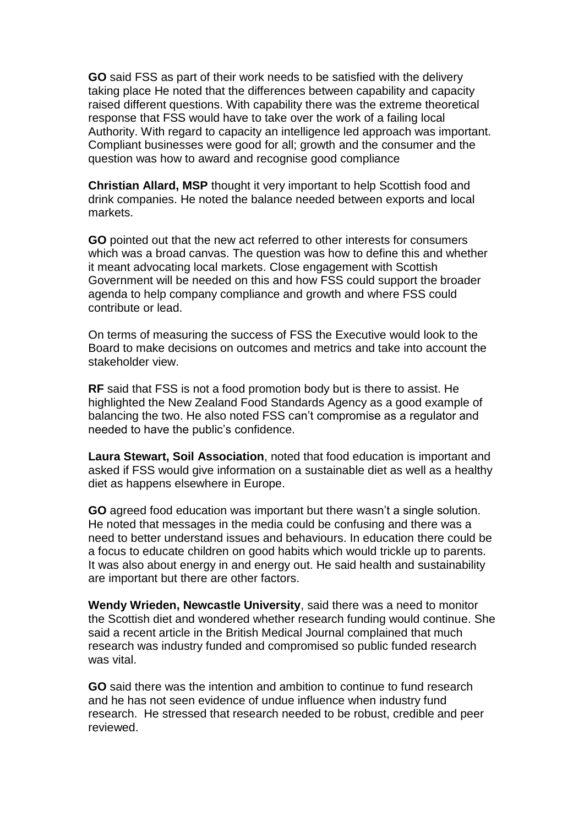**GO** said FSS as part of their work needs to be satisfied with the delivery taking place He noted that the differences between capability and capacity raised different questions. With capability there was the extreme theoretical response that FSS would have to take over the work of a failing local Authority. With regard to capacity an intelligence led approach was important. Compliant businesses were good for all; growth and the consumer and the question was how to award and recognise good compliance

**Christian Allard, MSP** thought it very important to help Scottish food and drink companies. He noted the balance needed between exports and local markets.

**GO** pointed out that the new act referred to other interests for consumers which was a broad canvas. The question was how to define this and whether it meant advocating local markets. Close engagement with Scottish Government will be needed on this and how FSS could support the broader agenda to help company compliance and growth and where FSS could contribute or lead.

On terms of measuring the success of FSS the Executive would look to the Board to make decisions on outcomes and metrics and take into account the stakeholder view.

**RF** said that FSS is not a food promotion body but is there to assist. He highlighted the New Zealand Food Standards Agency as a good example of balancing the two. He also noted FSS can't compromise as a regulator and needed to have the public's confidence.

**Laura Stewart, Soil Association**, noted that food education is important and asked if FSS would give information on a sustainable diet as well as a healthy diet as happens elsewhere in Europe.

**GO** agreed food education was important but there wasn't a single solution. He noted that messages in the media could be confusing and there was a need to better understand issues and behaviours. In education there could be a focus to educate children on good habits which would trickle up to parents. It was also about energy in and energy out. He said health and sustainability are important but there are other factors.

**Wendy Wrieden, Newcastle University**, said there was a need to monitor the Scottish diet and wondered whether research funding would continue. She said a recent article in the British Medical Journal complained that much research was industry funded and compromised so public funded research was vital.

**GO** said there was the intention and ambition to continue to fund research and he has not seen evidence of undue influence when industry fund research. He stressed that research needed to be robust, credible and peer reviewed.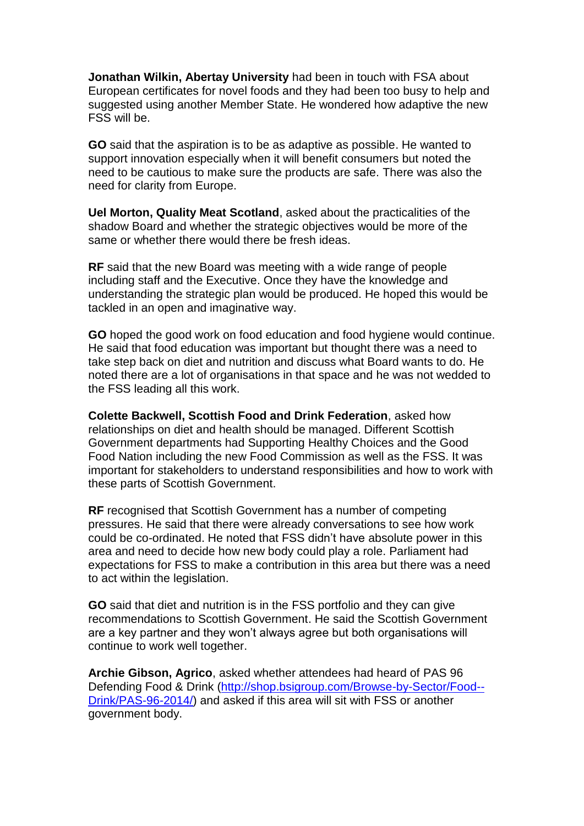**Jonathan Wilkin, Abertay University** had been in touch with FSA about European certificates for novel foods and they had been too busy to help and suggested using another Member State. He wondered how adaptive the new FSS will be.

**GO** said that the aspiration is to be as adaptive as possible. He wanted to support innovation especially when it will benefit consumers but noted the need to be cautious to make sure the products are safe. There was also the need for clarity from Europe.

**Uel Morton, Quality Meat Scotland**, asked about the practicalities of the shadow Board and whether the strategic objectives would be more of the same or whether there would there be fresh ideas.

**RF** said that the new Board was meeting with a wide range of people including staff and the Executive. Once they have the knowledge and understanding the strategic plan would be produced. He hoped this would be tackled in an open and imaginative way.

**GO** hoped the good work on food education and food hygiene would continue. He said that food education was important but thought there was a need to take step back on diet and nutrition and discuss what Board wants to do. He noted there are a lot of organisations in that space and he was not wedded to the FSS leading all this work.

**Colette Backwell, Scottish Food and Drink Federation**, asked how relationships on diet and health should be managed. Different Scottish Government departments had Supporting Healthy Choices and the Good Food Nation including the new Food Commission as well as the FSS. It was important for stakeholders to understand responsibilities and how to work with these parts of Scottish Government.

**RF** recognised that Scottish Government has a number of competing pressures. He said that there were already conversations to see how work could be co-ordinated. He noted that FSS didn't have absolute power in this area and need to decide how new body could play a role. Parliament had expectations for FSS to make a contribution in this area but there was a need to act within the legislation.

**GO** said that diet and nutrition is in the FSS portfolio and they can give recommendations to Scottish Government. He said the Scottish Government are a key partner and they won't always agree but both organisations will continue to work well together.

**Archie Gibson, Agrico**, asked whether attendees had heard of PAS 96 Defending Food & Drink [\(http://shop.bsigroup.com/Browse-by-Sector/Food--](http://shop.bsigroup.com/Browse-by-Sector/Food--Drink/PAS-96-2014/) [Drink/PAS-96-2014/\)](http://shop.bsigroup.com/Browse-by-Sector/Food--Drink/PAS-96-2014/) and asked if this area will sit with FSS or another government body.